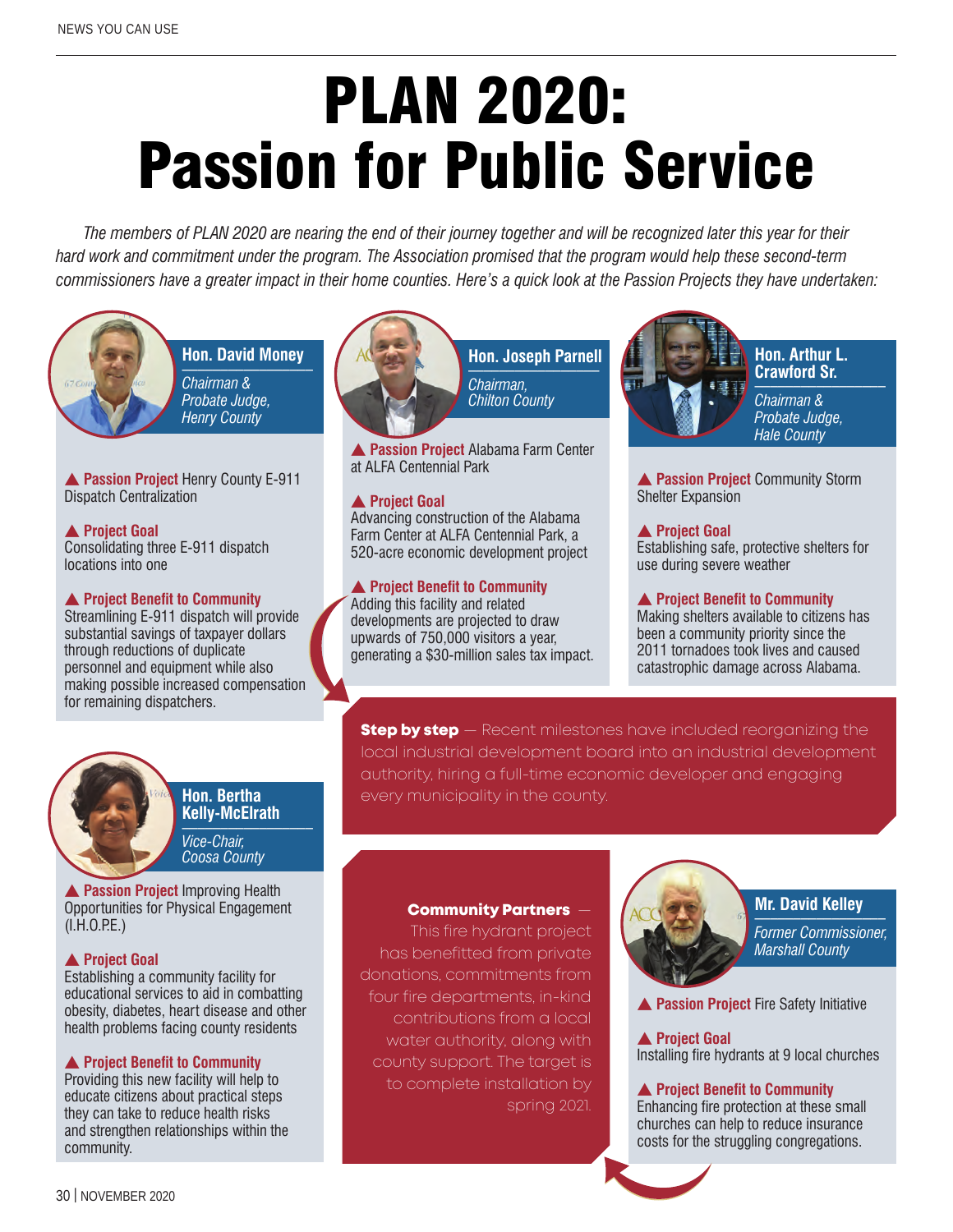# PLAN 2020: Passion for Public Service

*The members of PLAN 2020 are nearing the end of their journey together and will be recognized later this year for their hard work and commitment under the program. The Association promised that the program would help these second-term commissioners have a greater impact in their home counties. Here's a quick look at the Passion Projects they have undertaken:*



**Hon. David Money** \_\_\_\_\_\_\_\_\_\_\_\_\_\_\_\_\_ *Chairman &* 

*Probate Judge, Henry County*

**A Passion Project Henry County E-911** Dispatch Centralization

**A** Project Goal Consolidating three E-911 dispatch locations into one

#### **A** Project Benefit to Community

Streamlining E-911 dispatch will provide substantial savings of taxpayer dollars through reductions of duplicate personnel and equipment while also making possible increased compensation for remaining dispatchers.



**Hon. Bertha Kelly-McElrath** \_\_\_\_\_\_\_\_\_\_\_\_\_\_\_\_\_ *Vice-Chair, Coosa County*

**A Passion Project Improving Health** Opportunities for Physical Engagement  $(I.H.O.P.E.)$ 

#### **A** Project Goal

Establishing a community facility for educational services to aid in combatting obesity, diabetes, heart disease and other health problems facing county residents

#### **A** Project Benefit to Community

Providing this new facility will help to educate citizens about practical steps they can take to reduce health risks and strengthen relationships within the community.



**Hon. Joseph Parnell** \_\_\_\_\_\_\_\_\_\_\_\_\_\_\_\_\_ *Chairman,*

*Chilton County*

**A Passion Project Alabama Farm Center** at ALFA Centennial Park

#### **A** Project Goal

Advancing construction of the Alabama Farm Center at ALFA Centennial Park, a 520-acre economic development project

#### **A** Project Benefit to Community

Adding this facility and related developments are projected to draw upwards of 750,000 visitors a year, generating a \$30-million sales tax impact.



**Hon. Arthur L. Crawford Sr.** \_\_\_\_\_\_\_\_\_\_\_\_\_\_\_\_\_

*Chairman & Probate Judge, Hale County*

**A Passion Project Community Storm** Shelter Expansion

#### **A** Project Goal

Establishing safe, protective shelters for use during severe weather

#### **A** Project Benefit to Community

Making shelters available to citizens has been a community priority since the 2011 tornadoes took lives and caused catastrophic damage across Alabama.

**Step by step** – Recent milestones have included reorganizing the local industrial development board into an industrial development authority, hiring a full-time economic developer and engaging every municipality in the county.

#### Community Partners —

This fire hydrant project has benefitted from private donations, commitments from four fire departments, in-kind contributions from a local water authority, along with county support. The target is to complete installation by spring 2021.



# **Mr. David Kelley** \_\_\_\_\_\_\_\_\_\_\_\_\_\_\_\_\_

*Former Commissioner, Marshall County*

**Passion Project Fire Safety Initiative** 

**A** Project Goal Installing fire hydrants at 9 local churches

#### **A** Project Benefit to Community

Enhancing fire protection at these small churches can help to reduce insurance costs for the struggling congregations.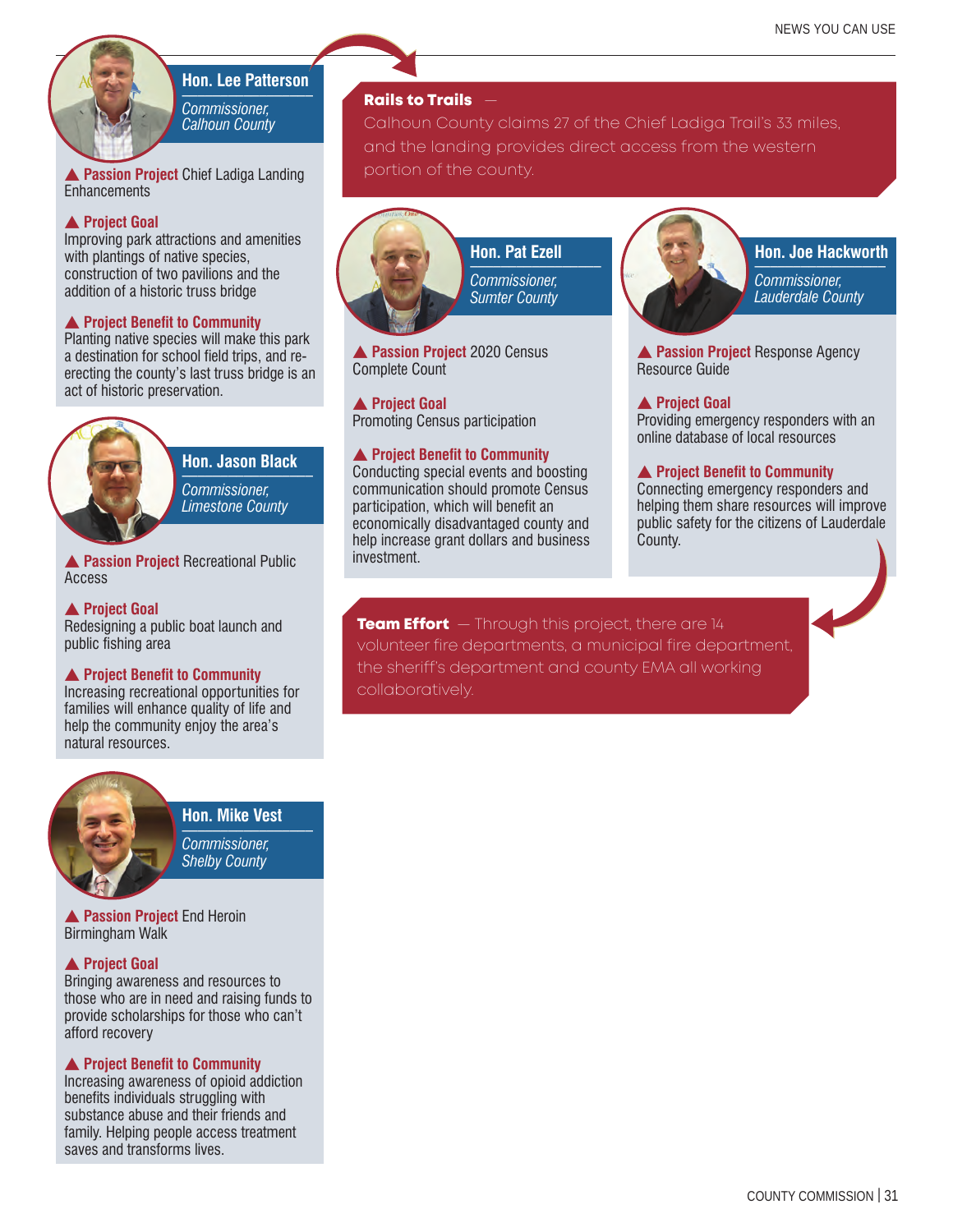### **Hon. Lee Patterson** \_\_\_\_\_\_\_\_\_\_\_\_\_\_\_\_\_

*Commissioner, Calhoun County* 

**A Passion Project Chief Ladiga Landing Enhancements** 

#### **A** Project Goal

Improving park attractions and amenities with plantings of native species, construction of two pavilions and the addition of a historic truss bridge

#### **A** Project Benefit to Community

Planting native species will make this park a destination for school field trips, and reerecting the county's last truss bridge is an act of historic preservation.



# **Hon. Jason Black** \_\_\_\_\_\_\_\_\_\_\_\_\_\_\_\_\_

*Commissioner, Limestone County*

**A Passion Project Recreational Public** Access

#### **A** Project Goal

Redesigning a public boat launch and public fishing area

#### **A** Project Benefit to Community

Increasing recreational opportunities for families will enhance quality of life and help the community enjoy the area's natural resources.



**Hon. Mike Vest** \_\_\_\_\_\_\_\_\_\_\_\_\_\_\_\_\_ *Commissioner, Shelby County*

**A Passion Project End Heroin** Birmingham Walk

#### **A** Project Goal

Bringing awareness and resources to those who are in need and raising funds to provide scholarships for those who can't afford recovery

#### **A** Project Benefit to Community

Increasing awareness of opioid addiction benefits individuals struggling with substance abuse and their friends and family. Helping people access treatment saves and transforms lives.

#### Rails to Trails  $-$

Calhoun County claims 27 of the Chief Ladiga Trail's 33 miles, and the landing provides direct access from the western portion of the county.



**A Passion Project 2020 Census** Complete Count

#### **A** Project Goal

Promoting Census participation

#### **▲ Project Benefit to Community**

Conducting special events and boosting communication should promote Census participation, which will benefit an economically disadvantaged county and help increase grant dollars and business investment.

# **Hon. Joe Hackworth** \_\_\_\_\_\_\_\_\_\_\_\_\_\_\_\_\_

*Commissioner, Lauderdale County*

**A Passion Project Response Agency** Resource Guide

#### **A** Project Goal

Providing emergency responders with an online database of local resources

#### **A** Project Benefit to Community

Connecting emergency responders and helping them share resources will improve public safety for the citizens of Lauderdale County.

**Team Effort** — Through this project, there are 14 volunteer fire departments, a municipal fire department, the sheriff's department and county EMA all working collaboratively.